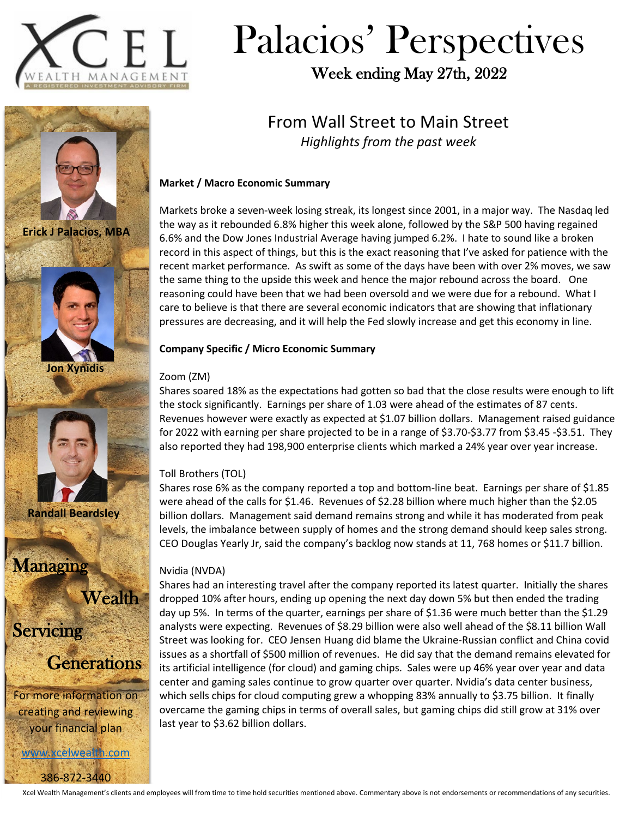

# Palacios' Perspectives

Week ending May 27th, 2022

# From Wall Street to Main Street *Highlights from the past week*

### **Market / Macro Economic Summary**

Markets broke a seven-week losing streak, its longest since 2001, in a major way. The Nasdaq led the way as it rebounded 6.8% higher this week alone, followed by the S&P 500 having regained 6.6% and the Dow Jones Industrial Average having jumped 6.2%. I hate to sound like a broken record in this aspect of things, but this is the exact reasoning that I've asked for patience with the recent market performance. As swift as some of the days have been with over 2% moves, we saw the same thing to the upside this week and hence the major rebound across the board. One reasoning could have been that we had been oversold and we were due for a rebound. What I care to believe is that there are several economic indicators that are showing that inflationary pressures are decreasing, and it will help the Fed slowly increase and get this economy in line.

### **Company Specific / Micro Economic Summary**

### Zoom (ZM)

Shares soared 18% as the expectations had gotten so bad that the close results were enough to lift the stock significantly. Earnings per share of 1.03 were ahead of the estimates of 87 cents. Revenues however were exactly as expected at \$1.07 billion dollars. Management raised guidance for 2022 with earning per share projected to be in a range of \$3.70-\$3.77 from \$3.45 -\$3.51. They also reported they had 198,900 enterprise clients which marked a 24% year over year increase.

## Toll Brothers (TOL)

Shares rose 6% as the company reported a top and bottom-line beat. Earnings per share of \$1.85 were ahead of the calls for \$1.46. Revenues of \$2.28 billion where much higher than the \$2.05 billion dollars. Management said demand remains strong and while it has moderated from peak levels, the imbalance between supply of homes and the strong demand should keep sales strong. CEO Douglas Yearly Jr, said the company's backlog now stands at 11, 768 homes or \$11.7 billion.

### Nvidia (NVDA)

Shares had an interesting travel after the company reported its latest quarter. Initially the shares dropped 10% after hours, ending up opening the next day down 5% but then ended the trading day up 5%. In terms of the quarter, earnings per share of \$1.36 were much better than the \$1.29 analysts were expecting. Revenues of \$8.29 billion were also well ahead of the \$8.11 billion Wall Street was looking for. CEO Jensen Huang did blame the Ukraine-Russian conflict and China covid issues as a shortfall of \$500 million of revenues. He did say that the demand remains elevated for its artificial intelligence (for cloud) and gaming chips. Sales were up 46% year over year and data center and gaming sales continue to grow quarter over quarter. Nvidia's data center business, which sells chips for cloud computing grew a whopping 83% annually to \$3.75 billion. It finally overcame the gaming chips in terms of overall sales, but gaming chips did still grow at 31% over last year to \$3.62 billion dollars.



**Erick J Palacios, MBA**





**Randall Beardsley**

Managing

**Wealth** 

**Servicing** 



For more information on creating and reviewing your financial plan